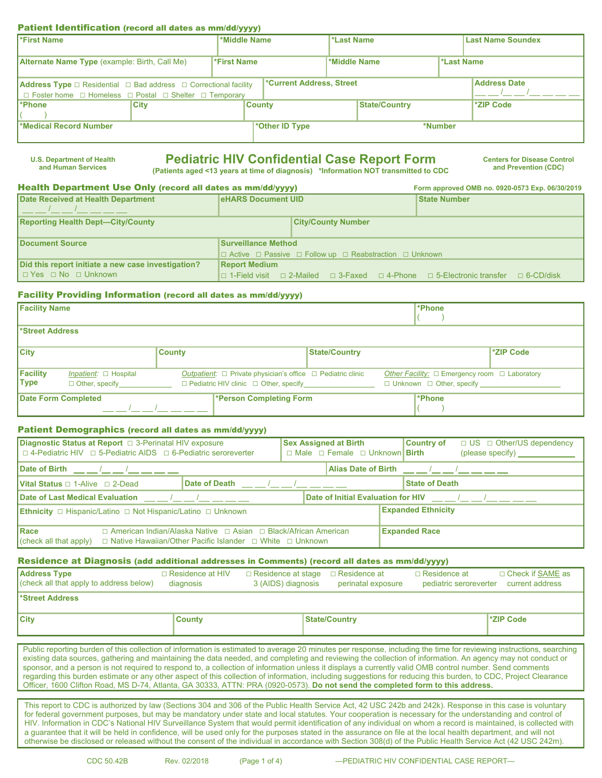#### Patient Identification (record all dates as mm/dd/yyyy)

| <b>First Name</b>                                                                      |             |                                 | *Middle Name   |              | *Last Name           | <b>Last Name Soundex</b> |           |
|----------------------------------------------------------------------------------------|-------------|---------------------------------|----------------|--------------|----------------------|--------------------------|-----------|
|                                                                                        |             |                                 |                |              |                      |                          |           |
| <b>Alternate Name Type</b> (example: Birth, Call Me)                                   |             | <b>*First Name</b>              |                | *Middle Name |                      | <b>Last Name</b>         |           |
|                                                                                        |             |                                 |                |              |                      |                          |           |
| <b>Address Type</b> $\Box$ Residential $\Box$ Bad address $\Box$ Correctional facility |             | <b>*Current Address, Street</b> |                |              | <b>Address Date</b>  |                          |           |
| $\Box$ Foster home $\Box$ Homeless $\Box$ Postal $\Box$ Shelter $\Box$ Temporary       |             |                                 |                |              |                      |                          |           |
| l*Phone                                                                                | <b>City</b> |                                 | <b>County</b>  |              | <b>State/Country</b> |                          | *ZIP Code |
|                                                                                        |             |                                 |                |              |                      |                          |           |
| Medical Record Number                                                                  |             |                                 | *Other ID Type |              |                      | *Number                  |           |
|                                                                                        |             |                                 |                |              |                      |                          |           |

**U.S. Department of Health**

# **Pediatric HIV Confidential Case Report Form** Centers for Disease Control

**and Prevention (CDC) (Patients aged <13 years at time of diagnosis) \*Information NOT transmitted to CDC**

#### Health Department Use Only (record all dates as mm/dd/yyyy) **Form approved OMB no. 0920-0573 Exp. 06/30/2019**<br>
For Provincial Attack Department Construction of the Department UP of the New York New York Department Old Atta **Date Received at Health Department**

| Date Received at Health Department                 | <b>IeHARS Document UID</b>                                                        |  |                           |  | <b>State Number</b>                                                              |                  |  |  |
|----------------------------------------------------|-----------------------------------------------------------------------------------|--|---------------------------|--|----------------------------------------------------------------------------------|------------------|--|--|
| <b>Reporting Health Dept-City/County</b>           |                                                                                   |  | <b>City/County Number</b> |  |                                                                                  |                  |  |  |
| Document Source                                    | <b>Surveillance Method</b>                                                        |  |                           |  |                                                                                  |                  |  |  |
|                                                    | $\Box$ Active $\Box$ Passive $\Box$ Follow up $\Box$ Reabstraction $\Box$ Unknown |  |                           |  |                                                                                  |                  |  |  |
| Did this report initiate a new case investigation? | <b>Report Medium</b>                                                              |  |                           |  |                                                                                  |                  |  |  |
| $\Box$ Yes $\Box$ No $\Box$ Unknown                |                                                                                   |  |                           |  | I □ 1-Field visit   □ 2-Mailed   □ 3-Faxed   □ 4-Phone   □ 5-Electronic transfer | $\Box$ 6-CD/disk |  |  |

#### Facility Providing Information (record all dates as mm/dd/yyyy)

| <b>Facility Name</b>    |                                                     |               |                                                                                                                                   |                      | <b>Phone</b>                                                                                          |           |
|-------------------------|-----------------------------------------------------|---------------|-----------------------------------------------------------------------------------------------------------------------------------|----------------------|-------------------------------------------------------------------------------------------------------|-----------|
| *Street Address         |                                                     |               |                                                                                                                                   |                      |                                                                                                       |           |
| <b>City</b>             |                                                     | <b>County</b> |                                                                                                                                   | <b>State/Country</b> |                                                                                                       | *ZIP Code |
| Facility<br><b>Type</b> | Inpatient: $\Box$ Hospital<br>$\Box$ Other, specify |               | <i>Outpatient:</i> $\Box$ Private physician's office $\Box$ Pediatric clinic<br>$\Box$ Pediatric HIV clinic $\Box$ Other, specify |                      | Other Facility: $\square$ Emergency room $\square$ Laboratory<br>$\Box$ Unknown $\Box$ Other, specify |           |
|                         | Date Form Completed                                 |               | *Person Completing Form                                                                                                           |                      | <b>*Phone</b>                                                                                         |           |

#### Patient Demographics (record all dates as mm/dd/yyyy)

| Diagnostic Status at Report □ 3-Perinatal HIV exposure<br>$\Box$ 4-Pediatric HIV $\Box$ 5-Pediatric AIDS $\Box$ 6-Pediatric seroreverter                                                                                                                                     |  |                                                                                                                                                                                                                                                                                                                   |  |  | <b>Sex Assigned at Birth</b><br>$\Box$ Male $\Box$ Female $\Box$ Unknown <b>Birth</b> |  | <b>Country of</b>         | $\Box$ US $\Box$ Other/US dependency<br>(please specify) ______________ |
|------------------------------------------------------------------------------------------------------------------------------------------------------------------------------------------------------------------------------------------------------------------------------|--|-------------------------------------------------------------------------------------------------------------------------------------------------------------------------------------------------------------------------------------------------------------------------------------------------------------------|--|--|---------------------------------------------------------------------------------------|--|---------------------------|-------------------------------------------------------------------------|
| Date of Birth $\underline{\qquad \qquad }$ $\underline{\qquad \qquad }$ $\underline{\qquad \qquad }$ $\underline{\qquad \qquad }$<br>Alias Date of Birth $\underline{\qquad \qquad }$ $\underline{\qquad \qquad }$ $\underline{\qquad \qquad }$ $\underline{\qquad \qquad }$ |  |                                                                                                                                                                                                                                                                                                                   |  |  |                                                                                       |  |                           |                                                                         |
| <b>Vital Status</b> $\Box$ 1-Alive $\Box$ 2-Dead                                                                                                                                                                                                                             |  | Date of Death<br>$\mathbf{I}$ and $\mathbf{I}$ and $\mathbf{I}$ and $\mathbf{I}$ and $\mathbf{I}$ and $\mathbf{I}$ and $\mathbf{I}$ and $\mathbf{I}$ and $\mathbf{I}$ and $\mathbf{I}$ and $\mathbf{I}$ and $\mathbf{I}$ and $\mathbf{I}$ and $\mathbf{I}$ and $\mathbf{I}$ and $\mathbf{I}$ and $\mathbf{I}$ and |  |  |                                                                                       |  | <b>State of Death</b>     |                                                                         |
| <b>IDate of Last Medical Evaluation</b><br>Date of Initial Evaluation for HIV<br>$\overline{1}$ $\overline{1}$ $\overline{1}$                                                                                                                                                |  |                                                                                                                                                                                                                                                                                                                   |  |  |                                                                                       |  |                           | $\overline{1}$ $\overline{1}$ $\overline{1}$                            |
| <b>Ethnicity</b> $\Box$ Hispanic/Latino $\Box$ Not Hispanic/Latino $\Box$ Unknown                                                                                                                                                                                            |  |                                                                                                                                                                                                                                                                                                                   |  |  |                                                                                       |  | <b>Expanded Ethnicity</b> |                                                                         |
|                                                                                                                                                                                                                                                                              |  |                                                                                                                                                                                                                                                                                                                   |  |  |                                                                                       |  |                           |                                                                         |
| <b>IRace</b>                                                                                                                                                                                                                                                                 |  | $\Box$ American Indian/Alaska Native $\Box$ Asian $\Box$ Black/African American                                                                                                                                                                                                                                   |  |  |                                                                                       |  | <b>Expanded Race</b>      |                                                                         |
| $\vert$ (check all that apply)                                                                                                                                                                                                                                               |  | □ Native Hawaiian/Other Pacific Islander □ White □ Unknown                                                                                                                                                                                                                                                        |  |  |                                                                                       |  |                           |                                                                         |

#### Residence at Diagnosis (add additional addresses in Comments) (record all dates as mm/dd/yyyy)

| <b>Address Type</b><br>(check all that apply to address below) | $\Box$ Residence at HIV<br>diagnosis | $\Box$ Residence at stage<br>3 (AIDS) diagnosis | □ Residence at<br>perinatal exposure | $\Box$ Residence at<br>pediatric seroreverter | □ Check if SAME as<br>current address |
|----------------------------------------------------------------|--------------------------------------|-------------------------------------------------|--------------------------------------|-----------------------------------------------|---------------------------------------|
| Street Address                                                 |                                      |                                                 |                                      |                                               |                                       |
| <b>City</b>                                                    | <b>County</b>                        |                                                 | <b>State/Country</b>                 |                                               | *ZIP Code                             |

Public reporting burden of this collection of information is estimated to average 20 minutes per response, including the time for reviewing instructions, searching existing data sources, gathering and maintaining the data needed, and completing and reviewing the collection of information. An agency may not conduct or sponsor, and a person is not required to respond to, a collection of information unless it displays a currently valid OMB control number. Send comments regarding this burden estimate or any other aspect of this collection of information, including suggestions for reducing this burden, to CDC, Project Clearance Officer, 1600 Clifton Road, MS D-74, Atlanta, GA 30333, ATTN: PRA (0920-0573). **Do not send the completed form to this address.**

This report to CDC is authorized by law (Sections 304 and 306 of the Public Health Service Act, 42 USC 242b and 242k). Response in this case is voluntary for federal government purposes, but may be mandatory under state and local statutes. Your cooperation is necessary for the understanding and control of HIV. Information in CDC's National HIV Surveillance System that would permit identification of any individual on whom a record is maintained, is collected with a guarantee that it will be held in confidence, will be used only for the purposes stated in the assurance on file at the local health department, and will not otherwise be disclosed or released without the consent of the individual in accordance with Section 308(d) of the Public Health Service Act (42 USC 242m).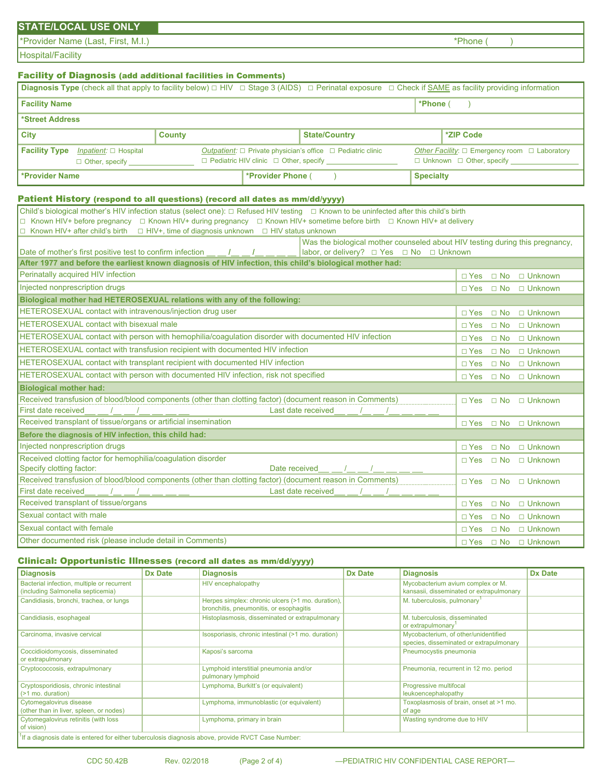## **STATE/LOCAL USE ONLY**

\*Provider Name (Last, First, M.I.) \*Phone ( )

Hospital/Facility

## Facility of Diagnosis (add additional facilities in Comments)

| <b>Diagnosis Type</b> (check all that apply to facility below) $\Box$ HIV $\Box$ Stage 3 (AIDS) $\Box$ Perinatal exposure $\Box$ Check if SAME as facility providing information |                            |               |  |                                                                                           |                                                                              |  |                                                         |                  |  |
|----------------------------------------------------------------------------------------------------------------------------------------------------------------------------------|----------------------------|---------------|--|-------------------------------------------------------------------------------------------|------------------------------------------------------------------------------|--|---------------------------------------------------------|------------------|--|
| *Phone (<br><b>Facility Name</b>                                                                                                                                                 |                            |               |  |                                                                                           |                                                                              |  |                                                         |                  |  |
| *Street Address                                                                                                                                                                  |                            |               |  |                                                                                           |                                                                              |  |                                                         |                  |  |
| <b>City</b>                                                                                                                                                                      |                            | <b>County</b> |  |                                                                                           | <b>State/Country</b>                                                         |  |                                                         | <b>*ZIP Code</b> |  |
| <b>Facility Type</b>                                                                                                                                                             | Inpatient: $\Box$ Hospital |               |  |                                                                                           | <i>Outpatient:</i> $\Box$ Private physician's office $\Box$ Pediatric clinic |  | Other Facility: $\Box$ Emergency room $\Box$ Laboratory |                  |  |
|                                                                                                                                                                                  | $\Box$ Other, specify      |               |  | $\Box$ Pediatric HIV clinic $\Box$ Other, specify<br>$\Box$ Unknown $\Box$ Other, specify |                                                                              |  |                                                         |                  |  |
| *Provider Name                                                                                                                                                                   |                            |               |  | <b>*Provider Phone (</b>                                                                  |                                                                              |  | <b>Specialty</b>                                        |                  |  |

## Patient History (respond to all questions) (record all dates as mm/dd/yyyy)

| Child's biological mother's HIV infection status (select one): □ Refused HIV testing □ Known to be uninfected after this child's birth      |                      |                      |                |  |  |  |  |  |  |  |
|---------------------------------------------------------------------------------------------------------------------------------------------|----------------------|----------------------|----------------|--|--|--|--|--|--|--|
| $\Box$ Known HIV+ before pregnancy $\Box$ Known HIV+ during pregnancy $\Box$ Known HIV+ sometime before birth $\Box$ Known HIV+ at delivery |                      |                      |                |  |  |  |  |  |  |  |
| $\Box$ Known HIV+ after child's birth $\Box$ HIV+, time of diagnosis unknown $\Box$ HIV status unknown                                      |                      |                      |                |  |  |  |  |  |  |  |
| Was the biological mother counseled about HIV testing during this pregnancy,                                                                |                      |                      |                |  |  |  |  |  |  |  |
| Date of mother's first positive test to confirm infection __ _ /_ _ _/_ _ _ _                                                               |                      |                      |                |  |  |  |  |  |  |  |
| After 1977 and before the earliest known diagnosis of HIV infection, this child's biological mother had:                                    |                      |                      |                |  |  |  |  |  |  |  |
| Perinatally acquired HIV infection                                                                                                          | $\Box$ Yes $\Box$ No |                      | $\Box$ Unknown |  |  |  |  |  |  |  |
| Injected nonprescription drugs                                                                                                              | $\Box$ Yes           | $\Box$ No            | $\Box$ Unknown |  |  |  |  |  |  |  |
| Biological mother had HETEROSEXUAL relations with any of the following:                                                                     |                      |                      |                |  |  |  |  |  |  |  |
| HETEROSEXUAL contact with intravenous/injection drug user                                                                                   | $\sqcap$ Yes         | $\Box$ No            | $\Box$ Unknown |  |  |  |  |  |  |  |
| <b>HETEROSEXUAL contact with bisexual male</b>                                                                                              | $\Box$ Yes           | $\Box$ No            | $\Box$ Unknown |  |  |  |  |  |  |  |
| <b>HETEROSEXUAL contact with person with hemophilia/coagulation disorder with documented HIV infection</b>                                  | $\Box$ Yes $\Box$ No |                      | $\Box$ Unknown |  |  |  |  |  |  |  |
| <b>HETEROSEXUAL contact with transfusion recipient with documented HIV infection</b>                                                        | $\Box$ Yes $\Box$ No |                      | $\Box$ Unknown |  |  |  |  |  |  |  |
| HETEROSEXUAL contact with transplant recipient with documented HIV infection                                                                | $\Box$ Yes $\Box$ No |                      | $\Box$ Unknown |  |  |  |  |  |  |  |
| HETEROSEXUAL contact with person with documented HIV infection, risk not specified                                                          | $\Box$ Yes $\Box$ No |                      | $\Box$ Unknown |  |  |  |  |  |  |  |
| <b>Biological mother had:</b>                                                                                                               |                      |                      |                |  |  |  |  |  |  |  |
| Received transfusion of blood/blood components (other than clotting factor) (document reason in Comments)                                   |                      | $\Box$ Yes $\Box$ No | $\Box$ Unknown |  |  |  |  |  |  |  |
| First date received<br>Last date received                                                                                                   |                      |                      |                |  |  |  |  |  |  |  |
| Received transplant of tissue/organs or artificial insemination                                                                             | $\Box$ Yes $\Box$ No |                      | $\Box$ Unknown |  |  |  |  |  |  |  |
| Before the diagnosis of HIV infection, this child had:                                                                                      |                      |                      |                |  |  |  |  |  |  |  |
| Injected nonprescription drugs                                                                                                              | $\Box$ Yes           | $\Box$ No            | $\Box$ Unknown |  |  |  |  |  |  |  |
| Received clotting factor for hemophilia/coagulation disorder                                                                                | $\sqcap$ Yes         | $\Box$ No            | $\Box$ Unknown |  |  |  |  |  |  |  |
| Specify clotting factor:<br>Date received                                                                                                   |                      |                      |                |  |  |  |  |  |  |  |
| Received transfusion of blood/blood components (other than clotting factor) (document reason in Comments)                                   | $\sqcap$ Yes         | $\Box$ No            | $\Box$ Unknown |  |  |  |  |  |  |  |
| First date received<br>Last date received                                                                                                   |                      |                      |                |  |  |  |  |  |  |  |
| Received transplant of tissue/organs                                                                                                        | $\sqcap$ Yes         | $\Box$ No            | $\Box$ Unknown |  |  |  |  |  |  |  |
| Sexual contact with male                                                                                                                    | $\sqcap$ Yes         | $\Box$ No            | $\Box$ Unknown |  |  |  |  |  |  |  |
| Sexual contact with female                                                                                                                  | $\sqcap$ Yes         | $\Box$ No            | $\Box$ Unknown |  |  |  |  |  |  |  |
| Other documented risk (please include detail in Comments)                                                                                   | $\Box$ Yes $\Box$ No |                      | $\Box$ Unknown |  |  |  |  |  |  |  |

#### Clinical: Opportunistic Illnesses (record all dates as mm/dd/yyyy)

| <b>Diagnosis</b>                                                                                                | <b>Dx Date</b> | <b>Diagnosis</b>                                                                             | <b>Dx Date</b> | <b>Diagnosis</b>                                                                | <b>Dx Date</b> |
|-----------------------------------------------------------------------------------------------------------------|----------------|----------------------------------------------------------------------------------------------|----------------|---------------------------------------------------------------------------------|----------------|
| Bacterial infection, multiple or recurrent<br>(including Salmonella septicemia)                                 |                | HIV encephalopathy                                                                           |                | Mycobacterium avium complex or M.<br>kansasii, disseminated or extrapulmonary   |                |
| Candidiasis, bronchi, trachea, or lungs                                                                         |                | Herpes simplex: chronic ulcers (>1 mo. duration),<br>bronchitis, pneumonitis, or esophagitis |                | M. tuberculosis, pulmonary <sup>1</sup>                                         |                |
| Candidiasis, esophageal                                                                                         |                | Histoplasmosis, disseminated or extrapulmonary                                               |                | M. tuberculosis, disseminated<br>or extrapulmonary                              |                |
| Carcinoma, invasive cervical                                                                                    |                | Isosporiasis, chronic intestinal (>1 mo. duration)                                           |                | Mycobacterium, of other/unidentified<br>species, disseminated or extrapulmonary |                |
| Coccidioidomycosis, disseminated<br>or extrapulmonary                                                           |                | Kaposi's sarcoma                                                                             |                | Pneumocystis pneumonia                                                          |                |
| Cryptococcosis, extrapulmonary                                                                                  |                | Lymphoid interstitial pneumonia and/or<br>pulmonary lymphoid                                 |                | Pneumonia, recurrent in 12 mo. period                                           |                |
| Cryptosporidiosis, chronic intestinal<br>$\sim$ 21 mo. duration)                                                |                | Lymphoma, Burkitt's (or equivalent)                                                          |                | Progressive multifocal<br>leukoencephalopathy                                   |                |
| Cytomegalovirus disease<br>(other than in liver, spleen, or nodes)                                              |                | Lymphoma, immunoblastic (or equivalent)                                                      |                | Toxoplasmosis of brain, onset at >1 mo.<br>of age                               |                |
| Cytomegalovirus retinitis (with loss<br>of vision)                                                              |                | Lymphoma, primary in brain                                                                   |                | Wasting syndrome due to HIV                                                     |                |
| $\frac{1}{1}$ If a diagnosis date is entered for either tuberculosis diagnosis above, provide RVCT Case Number: |                |                                                                                              |                |                                                                                 |                |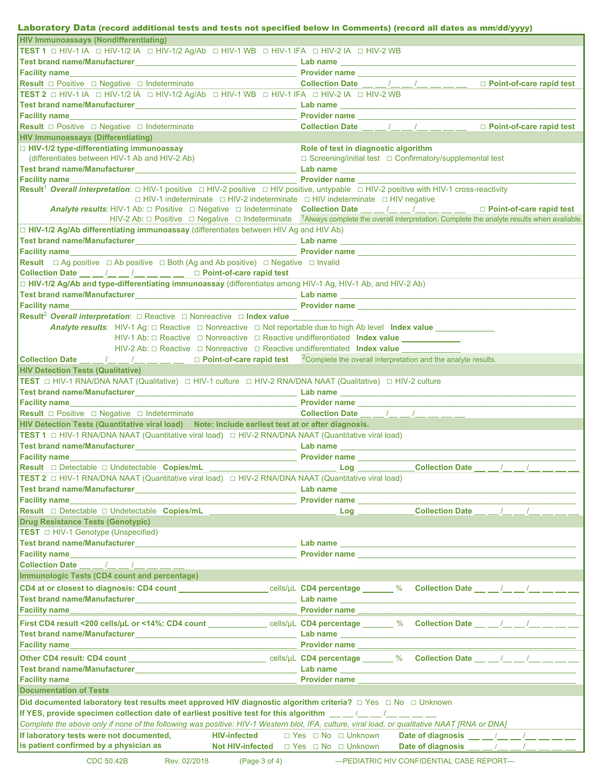#### CDC 50.42B Rev. 02/2018 (Page 3 of 4) - PEDIATRIC HIV CONFIDENTIAL CASE REPORT-Laboratory Data (record additional tests and tests not specified below in Comments) (record all dates as mm/dd/yyyy) **HIV Immunoassays (Nondifferentiating) TEST 1 □** HIV-1 IA **□** HIV-1/2 IA **□** HIV-1/2 Ag/Ab **□** HIV-1 WB **□** HIV-1 IFA **□** HIV-2 IA **□** HIV-2 WB **Test brand name/Manufacturer**\_\_\_\_\_\_\_\_\_\_\_\_\_\_\_\_\_\_\_\_\_\_\_\_\_\_\_\_\_\_\_\_\_\_\_\_\_ **Lab name** \_\_\_\_\_\_\_\_\_\_\_\_\_\_\_\_\_\_\_\_\_\_\_\_\_\_\_\_\_\_\_\_\_\_\_\_\_\_\_\_\_\_\_\_\_\_\_\_\_\_\_\_\_\_ **Facility name**\_\_\_\_\_\_\_\_\_\_\_\_\_\_\_\_\_\_\_\_\_\_\_\_\_\_\_\_\_\_\_\_\_\_\_\_\_\_\_\_\_\_\_\_\_\_\_\_\_\_\_\_ **Provider name** \_\_\_\_\_\_\_\_\_\_\_\_\_\_\_\_\_\_\_\_\_\_\_\_\_\_\_\_\_\_\_\_\_\_\_\_\_\_\_\_\_\_\_\_\_\_\_\_\_\_ **Result □** Positive **□** Negative **□** Indeterminate **Collection Date** / / **□ Point-of-care rapid test TEST 2 □** HIV-1 IA **□** HIV-1/2 IA **□** HIV-1/2 Ag/Ab **□** HIV-1 WB **□** HIV-1 IFA **□** HIV-2 IA **□** HIV-2 WB **Test brand name/Manufacturer**\_\_\_\_\_\_\_\_\_\_\_\_\_\_\_\_\_\_\_\_\_\_\_\_\_\_\_\_\_\_\_\_\_\_\_\_\_ **Lab name** \_\_\_\_\_\_\_\_\_\_\_\_\_\_\_\_\_\_\_\_\_\_\_\_\_\_\_\_\_\_\_\_\_\_\_\_\_\_\_\_\_\_\_\_\_\_\_\_\_\_\_\_\_\_ **Facility name Letter and Contract and Contract and Contract and Contract and Contract and Contract and Contract and Contract and Contract and Contract and Contract and Contract and Contract and Contract and Contract and Result □** Positive **□** Negative **□** Indeterminate **Collection Date** / / **□ Point-of-care rapid test HIV Immunoassays (Differentiating) □ HIV-1/2 type-differentiating immunoassay** (differentiates between HIV-1 Ab and HIV-2 Ab) **Role of test in diagnostic algorithm □** Screening/initial test **□** Confirmatory/supplemental test **Test brand name/Manufacturer**\_\_\_\_\_\_\_\_\_\_\_\_\_\_\_\_\_\_\_\_\_\_\_\_\_\_\_\_\_\_\_\_\_\_\_\_\_ **Lab name** \_\_\_\_\_\_\_\_\_\_\_\_\_\_\_\_\_\_\_\_\_\_\_\_\_\_\_\_\_\_\_\_\_\_\_\_\_\_\_\_\_\_\_\_\_\_\_\_\_\_\_\_\_\_ **Facility name**\_\_\_\_\_\_\_\_\_\_\_\_\_\_\_\_\_\_\_\_\_\_\_\_\_\_\_\_\_\_\_\_\_\_\_\_\_\_\_\_\_\_\_\_\_\_\_\_\_\_\_\_ **Provider name** \_\_\_\_\_\_\_\_\_\_\_\_\_\_\_\_\_\_\_\_\_\_\_\_\_\_\_\_\_\_\_\_\_\_\_\_\_\_\_\_\_\_\_\_\_\_\_\_\_\_ **Result**<sup>1</sup> *Overall interpretation*: □ HIV-1 positive □ HIV-2 positive □ HIV positive, untypable □ HIV-2 positive with HIV-1 cross-reactivity □ HIV-1 indeterminate □ HIV-2 indeterminate □ HIV indeterminate □ HIV negative *Analyte results*: HIV-1 Ab: **□** Positive **□** Negative **□** Indeterminate **Collection Date** / / □ **Point-of-care rapid test** HIV-2 Ab: **□** Positive **□** Negative **□** Indeterminate 1Always complete the overall interpretation. Complete the analyte results when available. □ **HIV-1/2 Ag/Ab differentiating immunoassay** (differentiates between HIV Ag and HIV Ab)<br>Test brand name/Manufacturer **Test brand name/Manufacturer**\_\_\_\_\_\_\_\_\_\_\_\_\_\_\_\_\_\_\_\_\_\_\_\_\_\_\_\_\_\_\_\_\_\_\_\_\_ **Lab name** \_\_\_\_\_\_\_\_\_\_\_\_\_\_\_\_\_\_\_\_\_\_\_\_\_\_\_\_\_\_\_\_\_\_\_\_\_\_\_\_\_\_\_\_\_\_\_\_\_\_\_\_\_\_ **Facility name**\_\_\_\_\_\_\_\_\_\_\_\_\_\_\_\_\_\_\_\_\_\_\_\_\_\_\_\_\_\_\_\_\_\_\_\_\_\_\_\_\_\_\_\_\_\_\_\_\_\_\_\_ **Provider name** \_\_\_\_\_\_\_\_\_\_\_\_\_\_\_\_\_\_\_\_\_\_\_\_\_\_\_\_\_\_\_\_\_\_\_\_\_\_\_\_\_\_\_\_\_\_\_\_\_\_ **Result** □ Ag positive □ Ab positive □ Both (Ag and Ab positive) □ Negative □ Invalid Collection Date <u>| | | | | | | | | | | | | </u> | Doint-of-care rapid test **□ HIV-1/2 Ag/Ab and type-differentiating immunoassay** (differentiates among HIV-1 Ag, HIV-1 Ab, and HIV-2 Ab) **Test brand name/Manufacturer**\_\_\_\_\_\_\_\_\_\_\_\_\_\_\_\_\_\_\_\_\_\_\_\_\_\_\_\_\_\_\_\_\_\_\_\_\_ **Lab name** \_\_\_\_\_\_\_\_\_\_\_\_\_\_\_\_\_\_\_\_\_\_\_\_\_\_\_\_\_\_\_\_\_\_\_\_\_\_\_\_\_\_\_\_\_\_\_\_\_\_\_\_\_\_ **Facility name**\_\_\_\_\_\_\_\_\_\_\_\_\_\_\_\_\_\_\_\_\_\_\_\_\_\_\_\_\_\_\_\_\_\_\_\_\_\_\_\_\_\_\_\_\_\_\_\_\_\_\_\_ **Provider name** \_\_\_\_\_\_\_\_\_\_\_\_\_\_\_\_\_\_\_\_\_\_\_\_\_\_\_\_\_\_\_\_\_\_\_\_\_\_\_\_\_\_\_\_\_\_\_\_\_\_ **Result<sup>2</sup> Overall interpretation**: □ Reactive □ Nonreactive □ Index value *Analyte results*: HIV-1 Ag: **□** Reactive **□** Nonreactive **□** Not reportable due to high Ab level **Index value** HIV-1 Ab: **□** Reactive **□** Nonreactive **□** Reactive undifferentiated **Index value** HIV-2 Ab: **□** Reactive **□** Nonreactive **□** Reactive undifferentiated **Index value** Collection Date <sub>←</sub> / <u>I</u> / **Execution** in Point-of-care rapid test <sup>2</sup>Complete the overall interpretation and the analyte results. **HIV Detection Tests (Qualitative) TEST □** HIV-1 RNA/DNA NAAT (Qualitative) **□** HIV-1 culture **□** HIV-2 RNA/DNA NAAT (Qualitative) **□** HIV-2 culture **Test brand name/Manufacturer**\_\_\_\_\_\_\_\_\_\_\_\_\_\_\_\_\_\_\_\_\_\_\_\_\_\_\_\_\_\_\_\_\_\_\_\_\_ **Lab name** \_\_\_\_\_\_\_\_\_\_\_\_\_\_\_\_\_\_\_\_\_\_\_\_\_\_\_\_\_\_\_\_\_\_\_\_\_\_\_\_\_\_\_\_\_\_\_\_\_\_\_\_\_\_ **Facility name** *Contrast and Contrast and Contrast and Contrast and Contrast and Contrast and Contrast and Contrast and Contrast and Contrast and Contrast and Contrast and Contrast and Contrast and Contrast and Contrast* **Result** □ Positive □ Negative □ Indeterminate **Collection Date Collection Date HIV Detection Tests (Quantitative viral load) Note: Include earliest test at or after diagnosis. TEST 1 □** HIV-1 RNA/DNA NAAT (Quantitative viral load) **□** HIV-2 RNA/DNA NAAT (Quantitative viral load) **Test brand name/Manufacturer**\_\_\_\_\_\_\_\_\_\_\_\_\_\_\_\_\_\_\_\_\_\_\_\_\_\_\_\_\_\_\_\_\_\_\_\_\_ **Lab name** \_\_\_\_\_\_\_\_\_\_\_\_\_\_\_\_\_\_\_\_\_\_\_\_\_\_\_\_\_\_\_\_\_\_\_\_\_\_\_\_\_\_\_\_\_\_\_\_\_\_\_\_\_\_ **Facility name**\_\_\_\_\_\_\_\_\_\_\_\_\_\_\_\_\_\_\_\_\_\_\_\_\_\_\_\_\_\_\_\_\_\_\_\_\_\_\_\_\_\_\_\_\_\_\_\_\_\_\_\_ **Provider name** \_\_\_\_\_\_\_\_\_\_\_\_\_\_\_\_\_\_\_\_\_\_\_\_\_\_\_\_\_\_\_\_\_\_\_\_\_\_\_\_\_\_\_\_\_\_\_\_\_\_ **Result □** Detectable **□** Undetectable **Copies/mL** \_\_\_\_\_\_\_\_\_\_\_\_\_\_\_\_\_\_\_\_\_\_\_\_\_\_\_\_\_ **Log** \_\_\_\_\_\_\_\_\_\_\_\_\_**Collection Date** / / **TEST 2 □** HIV-1 RNA/DNA NAAT (Quantitative viral load) **□** HIV-2 RNA/DNA NAAT (Quantitative viral load) **Test brand name/Manufacturer**\_\_\_\_\_\_\_\_\_\_\_\_\_\_\_\_\_\_\_\_\_\_\_\_\_\_\_\_\_\_\_\_\_\_\_\_\_ **Lab name** \_\_\_\_\_\_\_\_\_\_\_\_\_\_\_\_\_\_\_\_\_\_\_\_\_\_\_\_\_\_\_\_\_\_\_\_\_\_\_\_\_\_\_\_\_\_\_\_\_\_\_\_\_\_ **Facility name** *Alternative and the state of the state of the state of the state of the state of the state of the state of the state of the state of the state of the state of the state of the state of the state of the st* **Result □** Detectable **□** Undetectable **Copies/mL** \_\_\_\_\_\_\_\_\_\_\_\_\_\_\_\_\_\_\_\_\_\_\_\_\_\_\_\_\_ **Log** \_\_\_\_\_\_\_\_\_\_\_\_\_**Collection Date** / / **Drug Resistance Tests (Genotypic) TEST □** HIV-1 Genotype (Unspecified) **Test brand name/Manufacturer**\_\_\_\_\_\_\_\_\_\_\_\_\_\_\_\_\_\_\_\_\_\_\_\_\_\_\_\_\_\_\_\_\_\_\_\_\_ **Lab name** \_\_\_\_\_\_\_\_\_\_\_\_\_\_\_\_\_\_\_\_\_\_\_\_\_\_\_\_\_\_\_\_\_\_\_\_\_\_\_\_\_\_\_\_\_\_\_\_\_\_\_\_\_\_ **Facility name** *Alternative and the strain of the strain in the strain in the strain of the strain in the strain in the strain in the strain in the strain in the strain in the strain in the strain in the strain in the st* **Collection Date Immunologic Tests (CD4 count and percentage) CD4 at or closest to diagnosis: CD4 count** cells/µL **CD4 percentage** % **Collection Date** / / **Test brand name/Manufacturer**\_\_\_\_\_\_\_\_\_\_\_\_\_\_\_\_\_\_\_\_\_\_\_\_\_\_\_\_\_\_\_\_\_\_\_\_\_ **Lab name** \_\_\_\_\_\_\_\_\_\_\_\_\_\_\_\_\_\_\_\_\_\_\_\_\_\_\_\_\_\_\_\_\_\_\_\_\_\_\_\_\_\_\_\_\_\_\_\_\_\_\_\_\_\_ **Facility name Letter and Contract and Contract and Contract and Contract and Contract and Contract and Contract and Contract and Contract and Contract and Contract and Contract and Contract and Contract and Contract and First CD4 result <200 cells/µL or <14%: CD4 count \_\_\_\_\_\_\_\_\_**\_\_ cells/µL CD4 percentage \_\_\_\_ % Collection Date \_\_ \_\_ /\_\_ \_\_ /\_\_ \_\_ \_\_ **Test brand name/Manufacturer**\_\_\_\_\_\_\_\_\_\_\_\_\_\_\_\_\_\_\_\_\_\_\_\_\_\_\_\_\_\_\_\_\_\_\_\_\_ **Lab name** \_\_\_\_\_\_\_\_\_\_\_\_\_\_\_\_\_\_\_\_\_\_\_\_\_\_\_\_\_\_\_\_\_\_\_\_\_\_\_\_\_\_\_\_\_\_\_\_\_\_\_\_\_\_ **Facility name** *CONDERGALL CONDERGALL CONDERGALL CONDERGALL CONDERGALL CONDERGALL CONDERGALL CONDERGALL CONDERGALL* **Other CD4 result: CD4 count** cells/µL **CD4 percentage** % **Collection Date** / / **Test brand name/Manufacturer**\_\_\_\_\_\_\_\_\_\_\_\_\_\_\_\_\_\_\_\_\_\_\_\_\_\_\_\_\_\_\_\_\_\_\_\_\_ **Lab name** \_\_\_\_\_\_\_\_\_\_\_\_\_\_\_\_\_\_\_\_\_\_\_\_\_\_\_\_\_\_\_\_\_\_\_\_\_\_\_\_\_\_\_\_\_\_\_\_\_\_\_\_\_\_ **Facility name**\_\_\_\_\_\_\_\_\_\_\_\_\_\_\_\_\_\_\_\_\_\_\_\_\_\_\_\_\_\_\_\_\_\_\_\_\_\_\_\_\_\_\_\_\_\_\_\_\_\_\_\_ **Provider name** \_\_\_\_\_\_\_\_\_\_\_\_\_\_\_\_\_\_\_\_\_\_\_\_\_\_\_\_\_\_\_\_\_\_\_\_\_\_\_\_\_\_\_\_\_\_\_\_\_\_ **Documentation of Tests Did documented laboratory test results meet approved HIV diagnostic algorithm criteria? □** Yes **□** No **□** Unknown If YES, provide specimen collection date of earliest positive test for this algorithm  $\frac{m}{m}$  /  $\frac{m}{m}$  /  $\frac{m}{m}$  /  $\frac{m}{m}$ *Complete the above only if none of the following was positive: HIV-1 Western blot, IFA, culture, viral load, or qualitative NAAT [RNA or DNA]* **If laboratory tests were not documented, is patient confirmed by a physician as HIV-infected □** Yes **□** No **□** Unknown **Date of diagnosis** / / **Not HIV-infected** □ Yes □ No □ Unknown **Date of diagnosis**